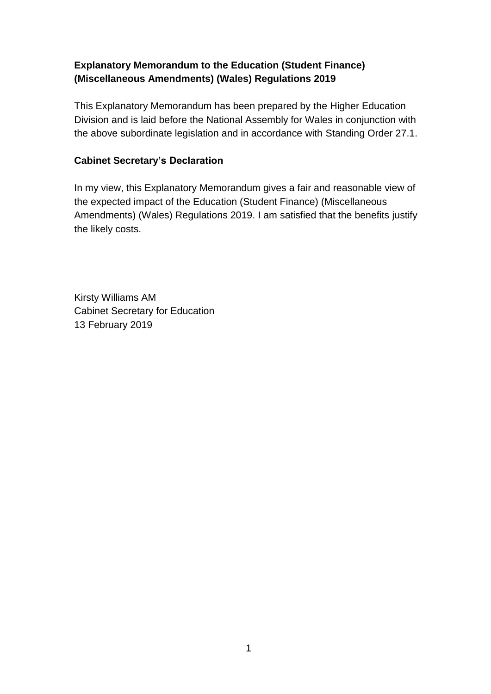# **Explanatory Memorandum to the Education (Student Finance) (Miscellaneous Amendments) (Wales) Regulations 2019**

This Explanatory Memorandum has been prepared by the Higher Education Division and is laid before the National Assembly for Wales in conjunction with the above subordinate legislation and in accordance with Standing Order 27.1.

### **Cabinet Secretary's Declaration**

In my view, this Explanatory Memorandum gives a fair and reasonable view of the expected impact of the Education (Student Finance) (Miscellaneous Amendments) (Wales) Regulations 2019. I am satisfied that the benefits justify the likely costs.

Kirsty Williams AM Cabinet Secretary for Education 13 February 2019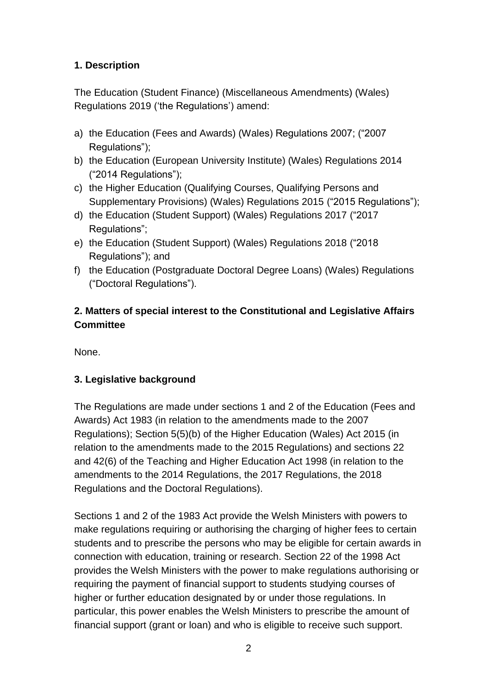# **1. Description**

The Education (Student Finance) (Miscellaneous Amendments) (Wales) Regulations 2019 ('the Regulations') amend:

- a) the Education (Fees and Awards) (Wales) Regulations 2007; ("2007 Regulations");
- b) the Education (European University Institute) (Wales) Regulations 2014 ("2014 Regulations");
- c) the Higher Education (Qualifying Courses, Qualifying Persons and Supplementary Provisions) (Wales) Regulations 2015 ("2015 Regulations");
- d) the Education (Student Support) (Wales) Regulations 2017 ("2017 Regulations";
- e) the Education (Student Support) (Wales) Regulations 2018 ("2018 Regulations"); and
- f) the Education (Postgraduate Doctoral Degree Loans) (Wales) Regulations ("Doctoral Regulations").

# **2. Matters of special interest to the Constitutional and Legislative Affairs Committee**

None.

# **3. Legislative background**

The Regulations are made under sections 1 and 2 of the Education (Fees and Awards) Act 1983 (in relation to the amendments made to the 2007 Regulations); Section 5(5)(b) of the Higher Education (Wales) Act 2015 (in relation to the amendments made to the 2015 Regulations) and sections 22 and 42(6) of the Teaching and Higher Education Act 1998 (in relation to the amendments to the 2014 Regulations, the 2017 Regulations, the 2018 Regulations and the Doctoral Regulations).

Sections 1 and 2 of the 1983 Act provide the Welsh Ministers with powers to make regulations requiring or authorising the charging of higher fees to certain students and to prescribe the persons who may be eligible for certain awards in connection with education, training or research. Section 22 of the 1998 Act provides the Welsh Ministers with the power to make regulations authorising or requiring the payment of financial support to students studying courses of higher or further education designated by or under those regulations. In particular, this power enables the Welsh Ministers to prescribe the amount of financial support (grant or loan) and who is eligible to receive such support.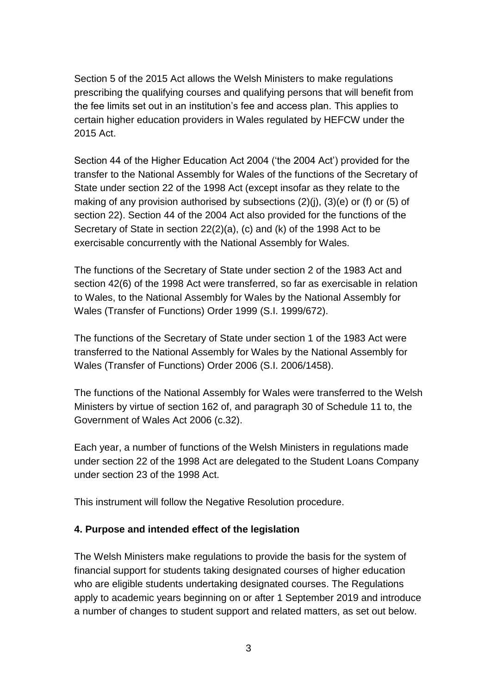Section 5 of the 2015 Act allows the Welsh Ministers to make regulations prescribing the qualifying courses and qualifying persons that will benefit from the fee limits set out in an institution's fee and access plan. This applies to certain higher education providers in Wales regulated by HEFCW under the 2015 Act.

Section 44 of the Higher Education Act 2004 ('the 2004 Act') provided for the transfer to the National Assembly for Wales of the functions of the Secretary of State under section 22 of the 1998 Act (except insofar as they relate to the making of any provision authorised by subsections (2)(j), (3)(e) or (f) or (5) of section 22). Section 44 of the 2004 Act also provided for the functions of the Secretary of State in section 22(2)(a), (c) and (k) of the 1998 Act to be exercisable concurrently with the National Assembly for Wales.

The functions of the Secretary of State under section 2 of the 1983 Act and section 42(6) of the 1998 Act were transferred, so far as exercisable in relation to Wales, to the National Assembly for Wales by the National Assembly for Wales (Transfer of Functions) Order 1999 (S.I. 1999/672).

The functions of the Secretary of State under section 1 of the 1983 Act were transferred to the National Assembly for Wales by the National Assembly for Wales (Transfer of Functions) Order 2006 (S.I. 2006/1458).

The functions of the National Assembly for Wales were transferred to the Welsh Ministers by virtue of section 162 of, and paragraph 30 of Schedule 11 to, the Government of Wales Act 2006 (c.32).

Each year, a number of functions of the Welsh Ministers in regulations made under section 22 of the 1998 Act are delegated to the Student Loans Company under section 23 of the 1998 Act.

This instrument will follow the Negative Resolution procedure.

#### **4. Purpose and intended effect of the legislation**

The Welsh Ministers make regulations to provide the basis for the system of financial support for students taking designated courses of higher education who are eligible students undertaking designated courses. The Regulations apply to academic years beginning on or after 1 September 2019 and introduce a number of changes to student support and related matters, as set out below.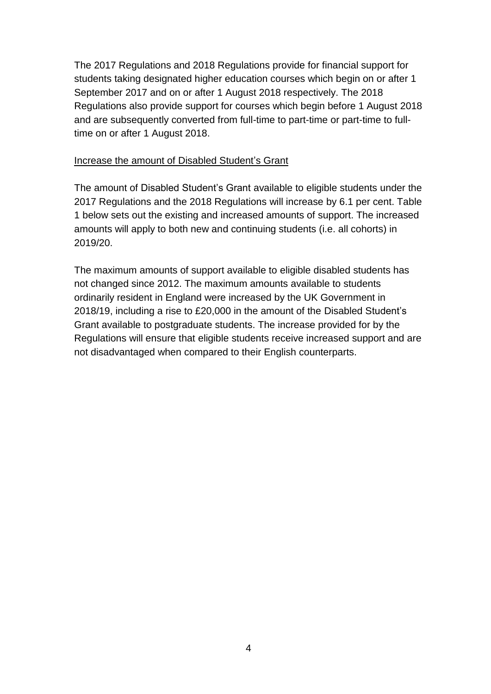The 2017 Regulations and 2018 Regulations provide for financial support for students taking designated higher education courses which begin on or after 1 September 2017 and on or after 1 August 2018 respectively. The 2018 Regulations also provide support for courses which begin before 1 August 2018 and are subsequently converted from full-time to part-time or part-time to fulltime on or after 1 August 2018.

#### Increase the amount of Disabled Student's Grant

The amount of Disabled Student's Grant available to eligible students under the 2017 Regulations and the 2018 Regulations will increase by 6.1 per cent. Table 1 below sets out the existing and increased amounts of support. The increased amounts will apply to both new and continuing students (i.e. all cohorts) in 2019/20.

The maximum amounts of support available to eligible disabled students has not changed since 2012. The maximum amounts available to students ordinarily resident in England were increased by the UK Government in 2018/19, including a rise to £20,000 in the amount of the Disabled Student's Grant available to postgraduate students. The increase provided for by the Regulations will ensure that eligible students receive increased support and are not disadvantaged when compared to their English counterparts.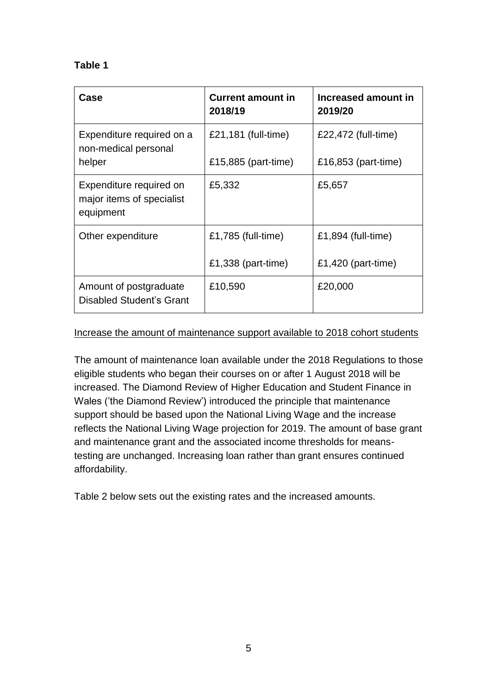## **Table 1**

| Case                                                              | <b>Current amount in</b><br>2018/19        | Increased amount in<br>2019/20             |
|-------------------------------------------------------------------|--------------------------------------------|--------------------------------------------|
| Expenditure required on a<br>non-medical personal<br>helper       | £21,181 (full-time)<br>£15,885 (part-time) | £22,472 (full-time)<br>£16,853 (part-time) |
| Expenditure required on<br>major items of specialist<br>equipment | £5,332                                     | £5,657                                     |
| Other expenditure                                                 | £1,785 (full-time)                         | £1,894 (full-time)                         |
|                                                                   | £1,338 (part-time)                         | £1,420 (part-time)                         |
| Amount of postgraduate<br>Disabled Student's Grant                | £10,590                                    | £20,000                                    |

#### Increase the amount of maintenance support available to 2018 cohort students

The amount of maintenance loan available under the 2018 Regulations to those eligible students who began their courses on or after 1 August 2018 will be increased. The Diamond Review of Higher Education and Student Finance in Wales ('the Diamond Review') introduced the principle that maintenance support should be based upon the National Living Wage and the increase reflects the National Living Wage projection for 2019. The amount of base grant and maintenance grant and the associated income thresholds for meanstesting are unchanged. Increasing loan rather than grant ensures continued affordability.

Table 2 below sets out the existing rates and the increased amounts.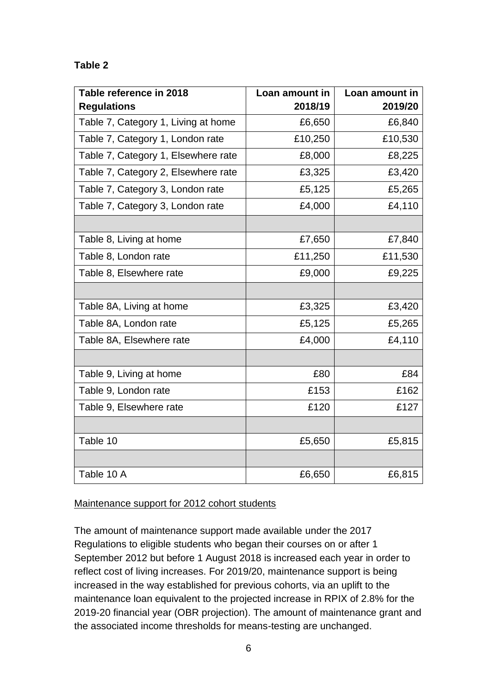## **Table 2**

| Table reference in 2018             | Loan amount in | Loan amount in |
|-------------------------------------|----------------|----------------|
| <b>Regulations</b>                  | 2018/19        | 2019/20        |
| Table 7, Category 1, Living at home | £6,650         | £6,840         |
| Table 7, Category 1, London rate    | £10,250        | £10,530        |
| Table 7, Category 1, Elsewhere rate | £8,000         | £8,225         |
| Table 7, Category 2, Elsewhere rate | £3,325         | £3,420         |
| Table 7, Category 3, London rate    | £5,125         | £5,265         |
| Table 7, Category 3, London rate    | £4,000         | £4,110         |
|                                     |                |                |
| Table 8, Living at home             | £7,650         | £7,840         |
| Table 8, London rate                | £11,250        | £11,530        |
| Table 8, Elsewhere rate             | £9,000         | £9,225         |
|                                     |                |                |
| Table 8A, Living at home            | £3,325         | £3,420         |
| Table 8A, London rate               | £5,125         | £5,265         |
| Table 8A, Elsewhere rate            | £4,000         | £4,110         |
|                                     |                |                |
| Table 9, Living at home             | £80            | £84            |
| Table 9, London rate                | £153           | £162           |
| Table 9, Elsewhere rate             | £120           | £127           |
|                                     |                |                |
| Table 10                            | £5,650         | £5,815         |
|                                     |                |                |
| Table 10 A                          | £6,650         | £6,815         |

#### Maintenance support for 2012 cohort students

The amount of maintenance support made available under the 2017 Regulations to eligible students who began their courses on or after 1 September 2012 but before 1 August 2018 is increased each year in order to reflect cost of living increases. For 2019/20, maintenance support is being increased in the way established for previous cohorts, via an uplift to the maintenance loan equivalent to the projected increase in RPIX of 2.8% for the 2019-20 financial year (OBR projection). The amount of maintenance grant and the associated income thresholds for means-testing are unchanged.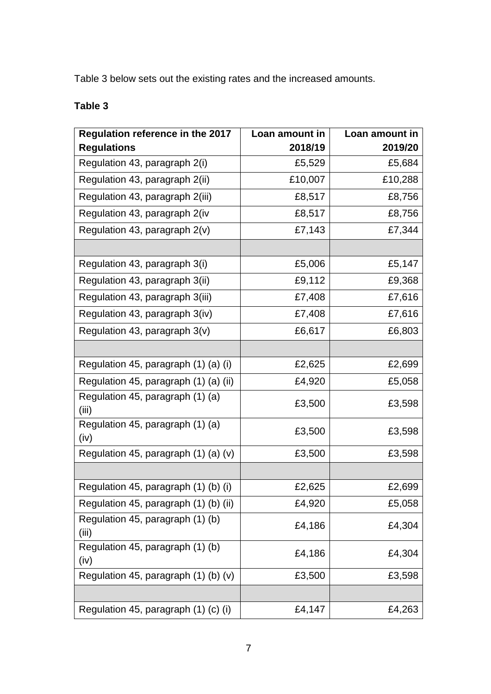Table 3 below sets out the existing rates and the increased amounts.

# **Table 3**

| Regulation reference in the 2017           | Loan amount in | Loan amount in |
|--------------------------------------------|----------------|----------------|
| <b>Regulations</b>                         | 2018/19        | 2019/20        |
| Regulation 43, paragraph 2(i)              | £5,529         | £5,684         |
| Regulation 43, paragraph 2(ii)             | £10,007        | £10,288        |
| Regulation 43, paragraph 2(iii)            | £8,517         | £8,756         |
| Regulation 43, paragraph 2(iv              | £8,517         | £8,756         |
| Regulation 43, paragraph 2(v)              | £7,143         | £7,344         |
|                                            |                |                |
| Regulation 43, paragraph 3(i)              | £5,006         | £5,147         |
| Regulation 43, paragraph 3(ii)             | £9,112         | £9,368         |
| Regulation 43, paragraph 3(iii)            | £7,408         | £7,616         |
| Regulation 43, paragraph 3(iv)             | £7,408         | £7,616         |
| Regulation 43, paragraph 3(v)              | £6,617         | £6,803         |
|                                            |                |                |
| Regulation 45, paragraph (1) (a) (i)       | £2,625         | £2,699         |
| Regulation 45, paragraph (1) (a) (ii)      | £4,920         | £5,058         |
| Regulation 45, paragraph (1) (a)<br>(iii)  | £3,500         | £3,598         |
| Regulation 45, paragraph (1) (a)<br>(iv)   | £3,500         | £3,598         |
| Regulation 45, paragraph $(1)$ $(a)$ $(v)$ | £3,500         | £3,598         |
|                                            |                |                |
| Regulation 45, paragraph (1) (b) (i)       | £2,625         | £2,699         |
| Regulation 45, paragraph (1) (b) (ii)      | £4,920         | £5,058         |
| Regulation 45, paragraph (1) (b)<br>(iii)  | £4,186         | £4,304         |
| Regulation 45, paragraph (1) (b)<br>(iv)   | £4,186         | £4,304         |
| Regulation 45, paragraph (1) (b) (v)       | £3,500         | £3,598         |
|                                            |                |                |
| Regulation 45, paragraph (1) (c) (i)       | £4,147         | £4,263         |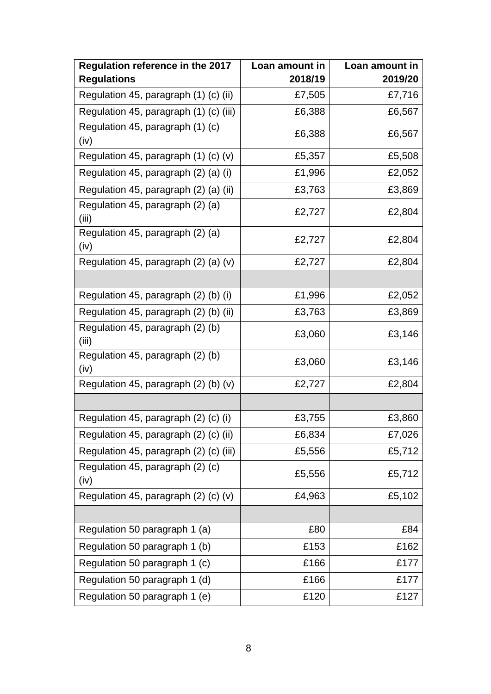| Regulation reference in the 2017           | Loan amount in | Loan amount in |
|--------------------------------------------|----------------|----------------|
| <b>Regulations</b>                         | 2018/19        | 2019/20        |
| Regulation 45, paragraph (1) (c) (ii)      | £7,505         | £7,716         |
| Regulation 45, paragraph (1) (c) (iii)     | £6,388         | £6,567         |
| Regulation 45, paragraph (1) (c)<br>(iv)   | £6,388         | £6,567         |
| Regulation 45, paragraph $(1)$ $(c)$ $(v)$ | £5,357         | £5,508         |
| Regulation 45, paragraph (2) (a) (i)       | £1,996         | £2,052         |
| Regulation 45, paragraph (2) (a) (ii)      | £3,763         | £3,869         |
| Regulation 45, paragraph (2) (a)<br>(iii)  | £2,727         | £2,804         |
| Regulation 45, paragraph (2) (a)<br>(iv)   | £2,727         | £2,804         |
| Regulation 45, paragraph (2) (a) (v)       | £2,727         | £2,804         |
|                                            |                |                |
| Regulation 45, paragraph (2) (b) (i)       | £1,996         | £2,052         |
| Regulation 45, paragraph (2) (b) (ii)      | £3,763         | £3,869         |
| Regulation 45, paragraph (2) (b)<br>(iii)  | £3,060         | £3,146         |
| Regulation 45, paragraph (2) (b)<br>(iv)   | £3,060         | £3,146         |
| Regulation 45, paragraph $(2)$ (b) $(v)$   | £2,727         | £2,804         |
|                                            |                |                |
| Regulation 45, paragraph (2) (c) (i)       | £3,755         | £3,860         |
| Regulation 45, paragraph (2) (c) (ii)      | £6,834         | £7,026         |
| Regulation 45, paragraph (2) (c) (iii)     | £5,556         | £5,712         |
| Regulation 45, paragraph (2) (c)<br>(iv)   | £5,556         | £5,712         |
| Regulation 45, paragraph (2) (c) (v)       | £4,963         | £5,102         |
|                                            |                |                |
| Regulation 50 paragraph 1 (a)              | £80            | £84            |
| Regulation 50 paragraph 1 (b)              | £153           | £162           |
| Regulation 50 paragraph 1 (c)              | £166           | £177           |
| Regulation 50 paragraph 1 (d)              | £166           | £177           |
| Regulation 50 paragraph 1 (e)              | £120           | £127           |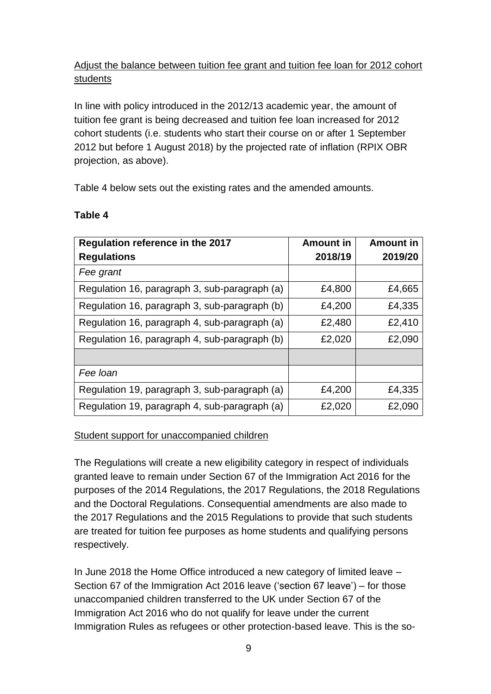# Adjust the balance between tuition fee grant and tuition fee loan for 2012 cohort students

In line with policy introduced in the 2012/13 academic year, the amount of tuition fee grant is being decreased and tuition fee loan increased for 2012 cohort students (i.e. students who start their course on or after 1 September 2012 but before 1 August 2018) by the projected rate of inflation (RPIX OBR projection, as above).

Table 4 below sets out the existing rates and the amended amounts.

| Regulation reference in the 2017              | <b>Amount in</b> | <b>Amount in</b> |
|-----------------------------------------------|------------------|------------------|
| <b>Regulations</b>                            | 2018/19          | 2019/20          |
| Fee grant                                     |                  |                  |
| Regulation 16, paragraph 3, sub-paragraph (a) | £4,800           | £4,665           |
| Regulation 16, paragraph 3, sub-paragraph (b) | £4,200           | £4,335           |
| Regulation 16, paragraph 4, sub-paragraph (a) | £2,480           | £2,410           |
| Regulation 16, paragraph 4, sub-paragraph (b) | £2,020           | £2,090           |
|                                               |                  |                  |
| Fee loan                                      |                  |                  |
| Regulation 19, paragraph 3, sub-paragraph (a) | £4,200           | £4,335           |
| Regulation 19, paragraph 4, sub-paragraph (a) | £2,020           | £2,090           |

#### **Table 4**

#### Student support for unaccompanied children

The Regulations will create a new eligibility category in respect of individuals granted leave to remain under Section 67 of the Immigration Act 2016 for the purposes of the 2014 Regulations, the 2017 Regulations, the 2018 Regulations and the Doctoral Regulations. Consequential amendments are also made to the 2017 Regulations and the 2015 Regulations to provide that such students are treated for tuition fee purposes as home students and qualifying persons respectively.

In June 2018 the Home Office introduced a new category of limited leave – Section 67 of the Immigration Act 2016 leave ('section 67 leave') – for those unaccompanied children transferred to the UK under Section 67 of the Immigration Act 2016 who do not qualify for leave under the current Immigration Rules as refugees or other protection-based leave. This is the so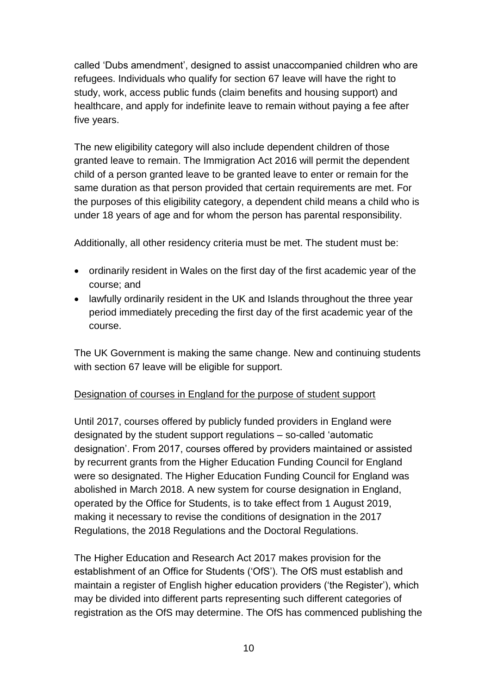called 'Dubs amendment', designed to assist unaccompanied children who are refugees. Individuals who qualify for section 67 leave will have the right to study, work, access public funds (claim benefits and housing support) and healthcare, and apply for indefinite leave to remain without paying a fee after five years.

The new eligibility category will also include dependent children of those granted leave to remain. The Immigration Act 2016 will permit the dependent child of a person granted leave to be granted leave to enter or remain for the same duration as that person provided that certain requirements are met. For the purposes of this eligibility category, a dependent child means a child who is under 18 years of age and for whom the person has parental responsibility.

Additionally, all other residency criteria must be met. The student must be:

- ordinarily resident in Wales on the first day of the first academic year of the course; and
- lawfully ordinarily resident in the UK and Islands throughout the three year period immediately preceding the first day of the first academic year of the course.

The UK Government is making the same change. New and continuing students with section 67 leave will be eligible for support.

# Designation of courses in England for the purpose of student support

Until 2017, courses offered by publicly funded providers in England were designated by the student support regulations – so-called 'automatic designation'. From 2017, courses offered by providers maintained or assisted by recurrent grants from the Higher Education Funding Council for England were so designated. The Higher Education Funding Council for England was abolished in March 2018. A new system for course designation in England, operated by the Office for Students, is to take effect from 1 August 2019, making it necessary to revise the conditions of designation in the 2017 Regulations, the 2018 Regulations and the Doctoral Regulations.

The Higher Education and Research Act 2017 makes provision for the establishment of an Office for Students ('OfS'). The OfS must establish and maintain a register of English higher education providers ('the Register'), which may be divided into different parts representing such different categories of registration as the OfS may determine. The OfS has commenced publishing the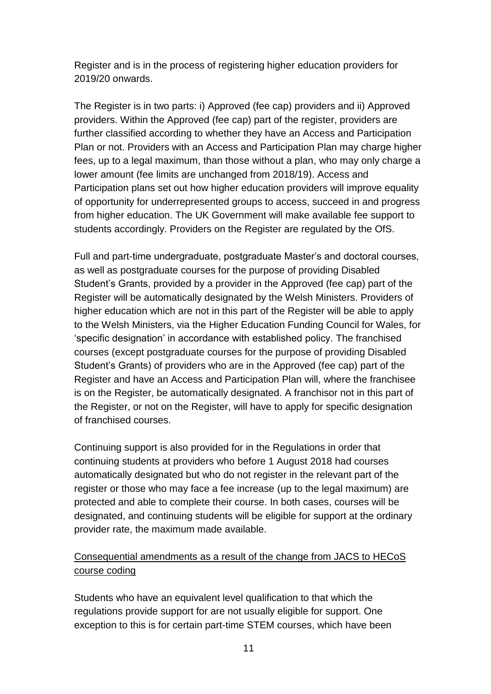Register and is in the process of registering higher education providers for 2019/20 onwards.

The Register is in two parts: i) Approved (fee cap) providers and ii) Approved providers. Within the Approved (fee cap) part of the register, providers are further classified according to whether they have an Access and Participation Plan or not. Providers with an Access and Participation Plan may charge higher fees, up to a legal maximum, than those without a plan, who may only charge a lower amount (fee limits are unchanged from 2018/19). Access and Participation plans set out how higher education providers will improve equality of opportunity for underrepresented groups to access, succeed in and progress from higher education. The UK Government will make available fee support to students accordingly. Providers on the Register are regulated by the OfS.

Full and part-time undergraduate, postgraduate Master's and doctoral courses, as well as postgraduate courses for the purpose of providing Disabled Student's Grants, provided by a provider in the Approved (fee cap) part of the Register will be automatically designated by the Welsh Ministers. Providers of higher education which are not in this part of the Register will be able to apply to the Welsh Ministers, via the Higher Education Funding Council for Wales, for 'specific designation' in accordance with established policy. The franchised courses (except postgraduate courses for the purpose of providing Disabled Student's Grants) of providers who are in the Approved (fee cap) part of the Register and have an Access and Participation Plan will, where the franchisee is on the Register, be automatically designated. A franchisor not in this part of the Register, or not on the Register, will have to apply for specific designation of franchised courses.

Continuing support is also provided for in the Regulations in order that continuing students at providers who before 1 August 2018 had courses automatically designated but who do not register in the relevant part of the register or those who may face a fee increase (up to the legal maximum) are protected and able to complete their course. In both cases, courses will be designated, and continuing students will be eligible for support at the ordinary provider rate, the maximum made available.

# Consequential amendments as a result of the change from JACS to HECoS course coding

Students who have an equivalent level qualification to that which the regulations provide support for are not usually eligible for support. One exception to this is for certain part-time STEM courses, which have been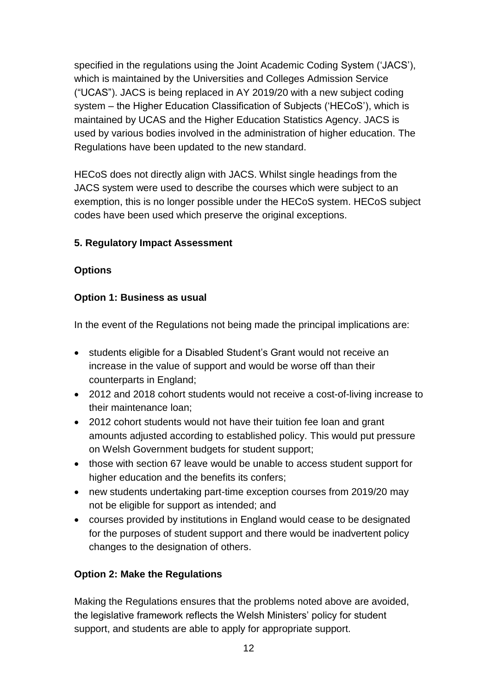specified in the regulations using the Joint Academic Coding System ('JACS'), which is maintained by the Universities and Colleges Admission Service ("UCAS"). JACS is being replaced in AY 2019/20 with a new subject coding system – the Higher Education Classification of Subjects ('HECoS'), which is maintained by UCAS and the Higher Education Statistics Agency. JACS is used by various bodies involved in the administration of higher education. The Regulations have been updated to the new standard.

HECoS does not directly align with JACS. Whilst single headings from the JACS system were used to describe the courses which were subject to an exemption, this is no longer possible under the HECoS system. HECoS subject codes have been used which preserve the original exceptions.

# **5. Regulatory Impact Assessment**

### **Options**

### **Option 1: Business as usual**

In the event of the Regulations not being made the principal implications are:

- students eligible for a Disabled Student's Grant would not receive an increase in the value of support and would be worse off than their counterparts in England;
- 2012 and 2018 cohort students would not receive a cost-of-living increase to their maintenance loan;
- 2012 cohort students would not have their tuition fee loan and grant amounts adjusted according to established policy. This would put pressure on Welsh Government budgets for student support;
- those with section 67 leave would be unable to access student support for higher education and the benefits its confers;
- new students undertaking part-time exception courses from 2019/20 may not be eligible for support as intended; and
- courses provided by institutions in England would cease to be designated for the purposes of student support and there would be inadvertent policy changes to the designation of others.

# **Option 2: Make the Regulations**

Making the Regulations ensures that the problems noted above are avoided, the legislative framework reflects the Welsh Ministers' policy for student support, and students are able to apply for appropriate support.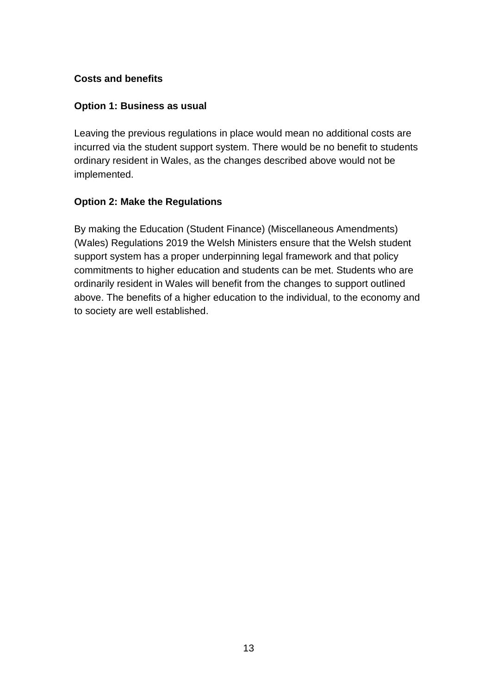### **Costs and benefits**

#### **Option 1: Business as usual**

Leaving the previous regulations in place would mean no additional costs are incurred via the student support system. There would be no benefit to students ordinary resident in Wales, as the changes described above would not be implemented.

#### **Option 2: Make the Regulations**

By making the Education (Student Finance) (Miscellaneous Amendments) (Wales) Regulations 2019 the Welsh Ministers ensure that the Welsh student support system has a proper underpinning legal framework and that policy commitments to higher education and students can be met. Students who are ordinarily resident in Wales will benefit from the changes to support outlined above. The benefits of a higher education to the individual, to the economy and to society are well established.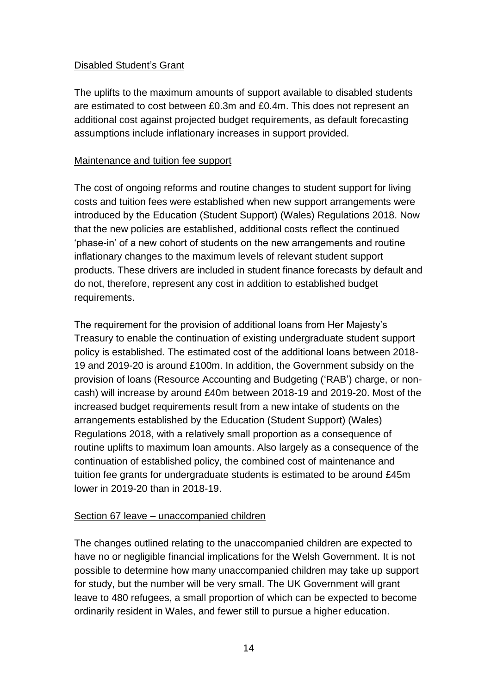### Disabled Student's Grant

The uplifts to the maximum amounts of support available to disabled students are estimated to cost between £0.3m and £0.4m. This does not represent an additional cost against projected budget requirements, as default forecasting assumptions include inflationary increases in support provided.

#### Maintenance and tuition fee support

The cost of ongoing reforms and routine changes to student support for living costs and tuition fees were established when new support arrangements were introduced by the Education (Student Support) (Wales) Regulations 2018. Now that the new policies are established, additional costs reflect the continued 'phase-in' of a new cohort of students on the new arrangements and routine inflationary changes to the maximum levels of relevant student support products. These drivers are included in student finance forecasts by default and do not, therefore, represent any cost in addition to established budget requirements.

The requirement for the provision of additional loans from Her Majesty's Treasury to enable the continuation of existing undergraduate student support policy is established. The estimated cost of the additional loans between 2018- 19 and 2019-20 is around £100m. In addition, the Government subsidy on the provision of loans (Resource Accounting and Budgeting ('RAB') charge, or noncash) will increase by around £40m between 2018-19 and 2019-20. Most of the increased budget requirements result from a new intake of students on the arrangements established by the Education (Student Support) (Wales) Regulations 2018, with a relatively small proportion as a consequence of routine uplifts to maximum loan amounts. Also largely as a consequence of the continuation of established policy, the combined cost of maintenance and tuition fee grants for undergraduate students is estimated to be around £45m lower in 2019-20 than in 2018-19.

#### Section 67 leave – unaccompanied children

The changes outlined relating to the unaccompanied children are expected to have no or negligible financial implications for the Welsh Government. It is not possible to determine how many unaccompanied children may take up support for study, but the number will be very small. The UK Government will grant leave to 480 refugees, a small proportion of which can be expected to become ordinarily resident in Wales, and fewer still to pursue a higher education.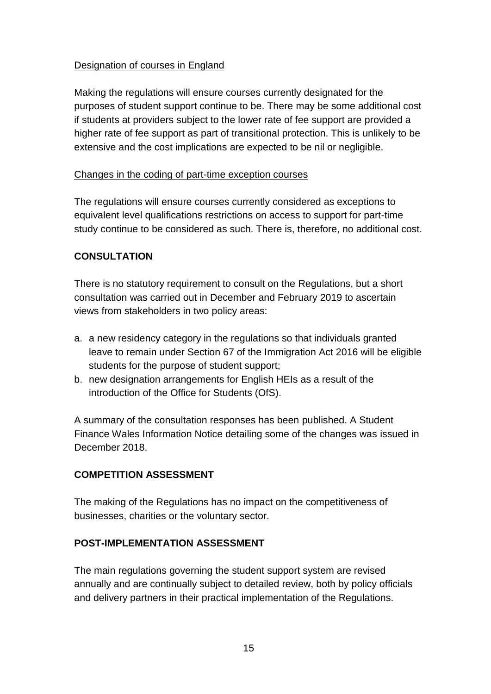### Designation of courses in England

Making the regulations will ensure courses currently designated for the purposes of student support continue to be. There may be some additional cost if students at providers subject to the lower rate of fee support are provided a higher rate of fee support as part of transitional protection. This is unlikely to be extensive and the cost implications are expected to be nil or negligible.

#### Changes in the coding of part-time exception courses

The regulations will ensure courses currently considered as exceptions to equivalent level qualifications restrictions on access to support for part-time study continue to be considered as such. There is, therefore, no additional cost.

### **CONSULTATION**

There is no statutory requirement to consult on the Regulations, but a short consultation was carried out in December and February 2019 to ascertain views from stakeholders in two policy areas:

- a. a new residency category in the regulations so that individuals granted leave to remain under Section 67 of the Immigration Act 2016 will be eligible students for the purpose of student support;
- b. new designation arrangements for English HEIs as a result of the introduction of the Office for Students (OfS).

A summary of the consultation responses has been published. A Student Finance Wales Information Notice detailing some of the changes was issued in December 2018.

# **COMPETITION ASSESSMENT**

The making of the Regulations has no impact on the competitiveness of businesses, charities or the voluntary sector.

#### **POST-IMPLEMENTATION ASSESSMENT**

The main regulations governing the student support system are revised annually and are continually subject to detailed review, both by policy officials and delivery partners in their practical implementation of the Regulations.